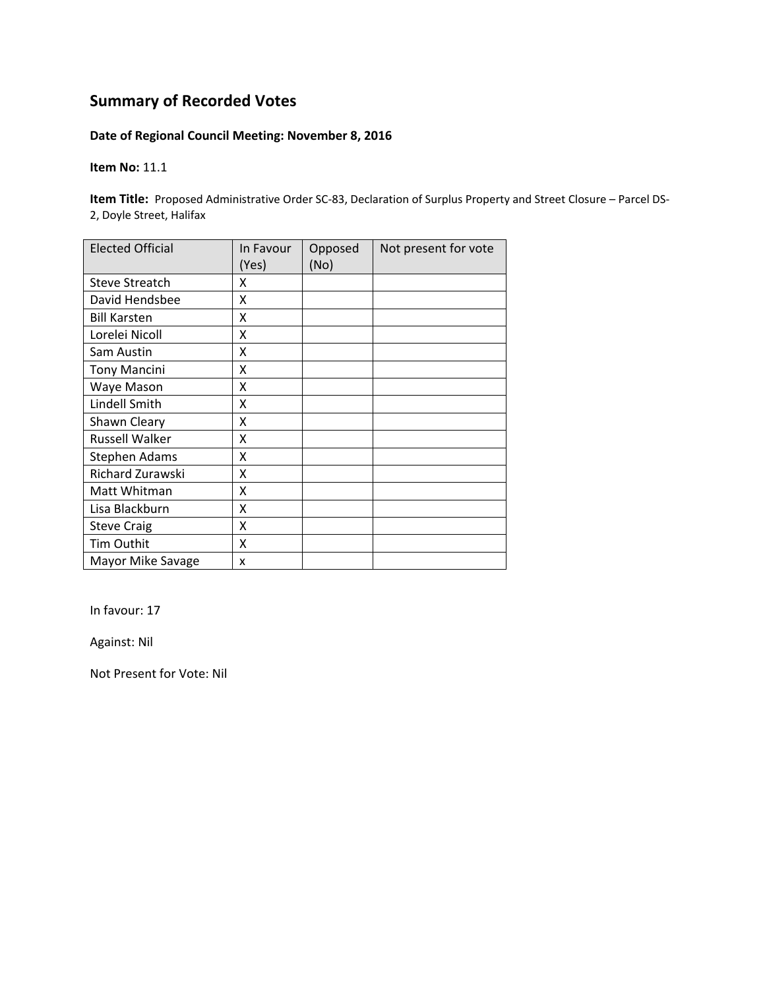#### **Date of Regional Council Meeting: November 8, 2016**

#### **Item No:** 11.1

**Item Title:** Proposed Administrative Order SC-83, Declaration of Surplus Property and Street Closure – Parcel DS-2, Doyle Street, Halifax

| <b>Elected Official</b> | In Favour<br>(Yes) | Opposed<br>(No) | Not present for vote |
|-------------------------|--------------------|-----------------|----------------------|
| Steve Streatch          | x                  |                 |                      |
| David Hendsbee          | X                  |                 |                      |
| <b>Bill Karsten</b>     | Χ                  |                 |                      |
| Lorelei Nicoll          | Χ                  |                 |                      |
| Sam Austin              | x                  |                 |                      |
| <b>Tony Mancini</b>     | Χ                  |                 |                      |
| Waye Mason              | X                  |                 |                      |
| Lindell Smith           | x                  |                 |                      |
| Shawn Cleary            | Χ                  |                 |                      |
| <b>Russell Walker</b>   | x                  |                 |                      |
| <b>Stephen Adams</b>    | x                  |                 |                      |
| Richard Zurawski        | Χ                  |                 |                      |
| Matt Whitman            | χ                  |                 |                      |
| Lisa Blackburn          | X                  |                 |                      |
| <b>Steve Craig</b>      | X                  |                 |                      |
| Tim Outhit              | Χ                  |                 |                      |
| Mayor Mike Savage       | x                  |                 |                      |

In favour: 17

Against: Nil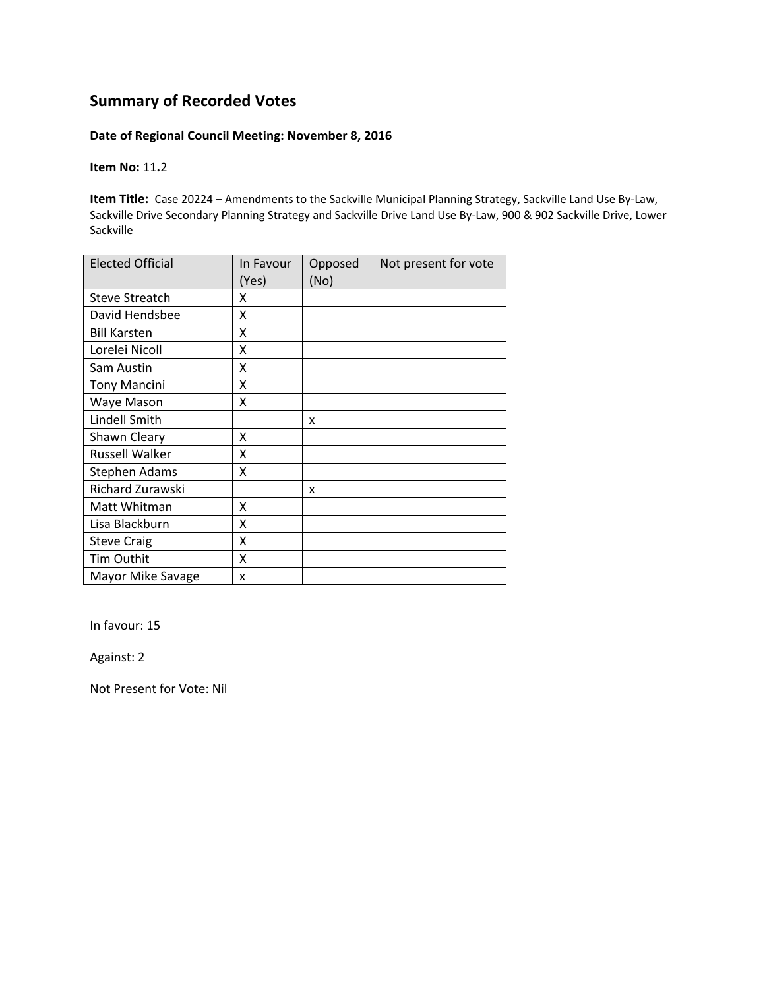#### **Date of Regional Council Meeting: November 8, 2016**

**Item No:** 11**.**2

**Item Title:** Case 20224 – Amendments to the Sackville Municipal Planning Strategy, Sackville Land Use By‐Law, Sackville Drive Secondary Planning Strategy and Sackville Drive Land Use By‐Law, 900 & 902 Sackville Drive, Lower Sackville

| <b>Elected Official</b> | In Favour<br>(Yes) | Opposed<br>(No) | Not present for vote |
|-------------------------|--------------------|-----------------|----------------------|
| <b>Steve Streatch</b>   | x                  |                 |                      |
| David Hendsbee          | x                  |                 |                      |
| <b>Bill Karsten</b>     | X                  |                 |                      |
| Lorelei Nicoll          | x                  |                 |                      |
| Sam Austin              | Χ                  |                 |                      |
| <b>Tony Mancini</b>     | X                  |                 |                      |
| Waye Mason              | X                  |                 |                      |
| Lindell Smith           |                    | x               |                      |
| Shawn Cleary            | x                  |                 |                      |
| <b>Russell Walker</b>   | Χ                  |                 |                      |
| Stephen Adams           | Χ                  |                 |                      |
| Richard Zurawski        |                    | x               |                      |
| Matt Whitman            | X                  |                 |                      |
| Lisa Blackburn          | x                  |                 |                      |
| <b>Steve Craig</b>      | X                  |                 |                      |
| Tim Outhit              | x                  |                 |                      |
| Mayor Mike Savage       | x                  |                 |                      |

In favour: 15

Against: 2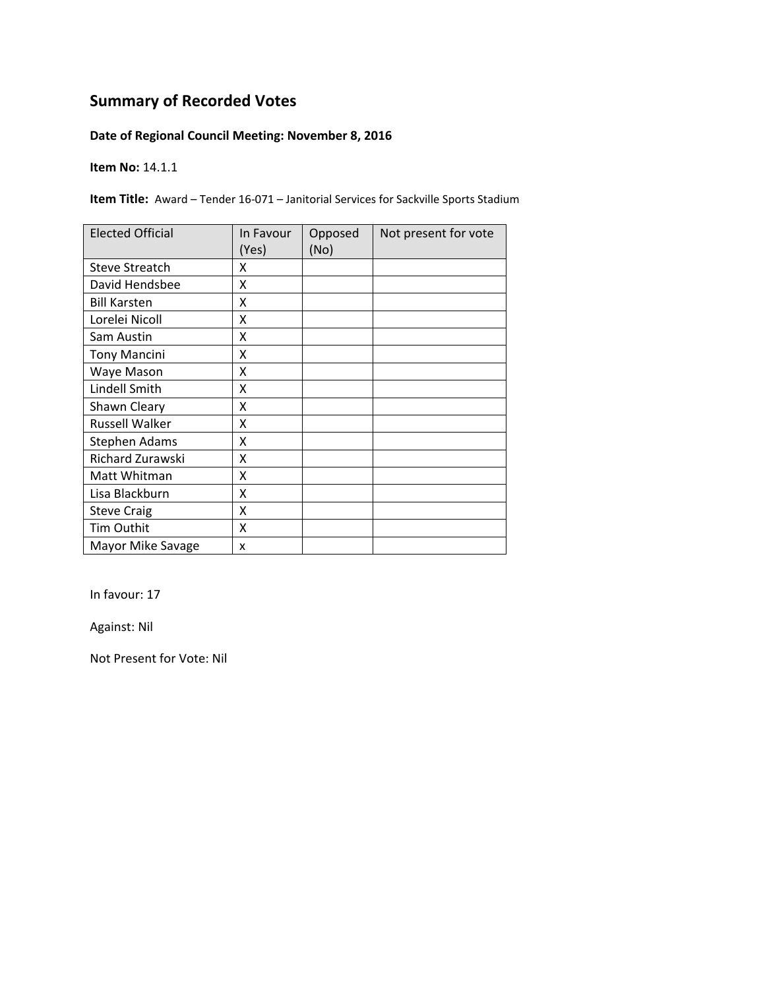### **Date of Regional Council Meeting: November 8, 2016**

**Item No:** 14.1.1

**Item Title:** Award – Tender 16-071 – Janitorial Services for Sackville Sports Stadium

| <b>Elected Official</b> | In Favour<br>(Yes) | Opposed<br>(No) | Not present for vote |
|-------------------------|--------------------|-----------------|----------------------|
| <b>Steve Streatch</b>   | x                  |                 |                      |
| David Hendsbee          | X                  |                 |                      |
| <b>Bill Karsten</b>     | x                  |                 |                      |
| Lorelei Nicoll          | X                  |                 |                      |
| Sam Austin              | X                  |                 |                      |
| <b>Tony Mancini</b>     | Χ                  |                 |                      |
| Waye Mason              | X                  |                 |                      |
| Lindell Smith           | X                  |                 |                      |
| Shawn Cleary            | x                  |                 |                      |
| <b>Russell Walker</b>   | Χ                  |                 |                      |
| <b>Stephen Adams</b>    | X                  |                 |                      |
| Richard Zurawski        | X                  |                 |                      |
| Matt Whitman            | X                  |                 |                      |
| Lisa Blackburn          | X                  |                 |                      |
| <b>Steve Craig</b>      | Χ                  |                 |                      |
| Tim Outhit              | Χ                  |                 |                      |
| Mayor Mike Savage       | x                  |                 |                      |

In favour: 17

Against: Nil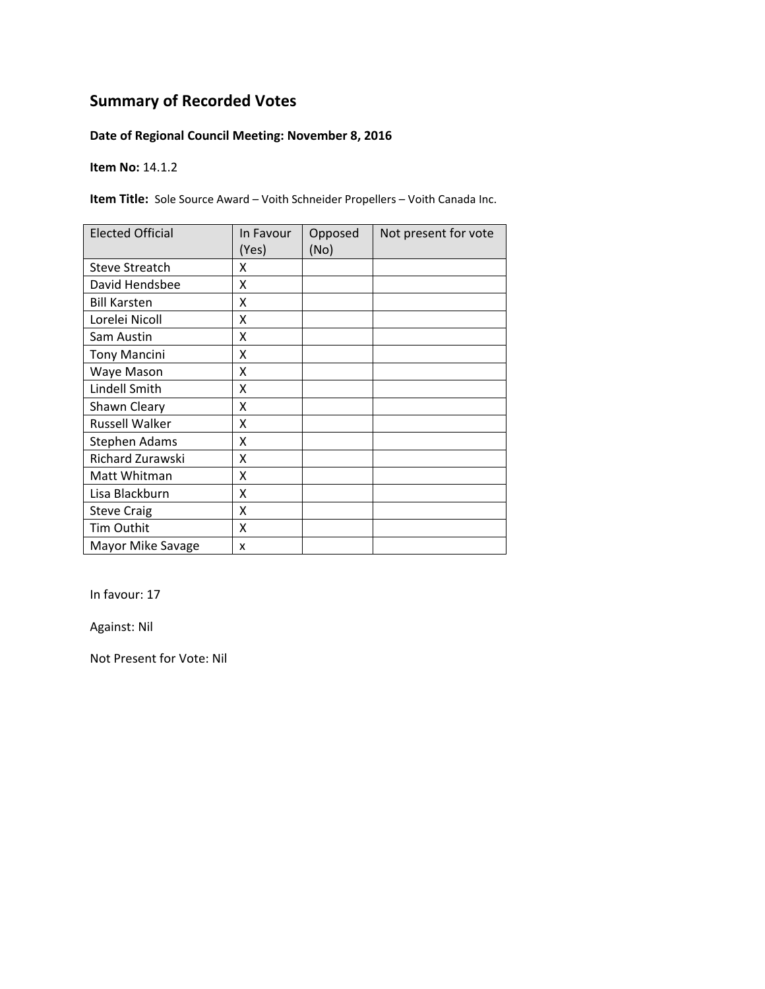### **Date of Regional Council Meeting: November 8, 2016**

**Item No:** 14.1.2

**Item Title:** Sole Source Award – Voith Schneider Propellers – Voith Canada Inc.

| <b>Elected Official</b> | In Favour<br>(Yes) | Opposed<br>(No) | Not present for vote |
|-------------------------|--------------------|-----------------|----------------------|
| <b>Steve Streatch</b>   | x                  |                 |                      |
| David Hendsbee          | X                  |                 |                      |
| <b>Bill Karsten</b>     | x                  |                 |                      |
| Lorelei Nicoll          | X                  |                 |                      |
| Sam Austin              | X                  |                 |                      |
| <b>Tony Mancini</b>     | Χ                  |                 |                      |
| Waye Mason              | X                  |                 |                      |
| Lindell Smith           | X                  |                 |                      |
| Shawn Cleary            | x                  |                 |                      |
| <b>Russell Walker</b>   | Χ                  |                 |                      |
| <b>Stephen Adams</b>    | X                  |                 |                      |
| Richard Zurawski        | X                  |                 |                      |
| Matt Whitman            | X                  |                 |                      |
| Lisa Blackburn          | X                  |                 |                      |
| <b>Steve Craig</b>      | Χ                  |                 |                      |
| Tim Outhit              | Χ                  |                 |                      |
| Mayor Mike Savage       | x                  |                 |                      |

In favour: 17

Against: Nil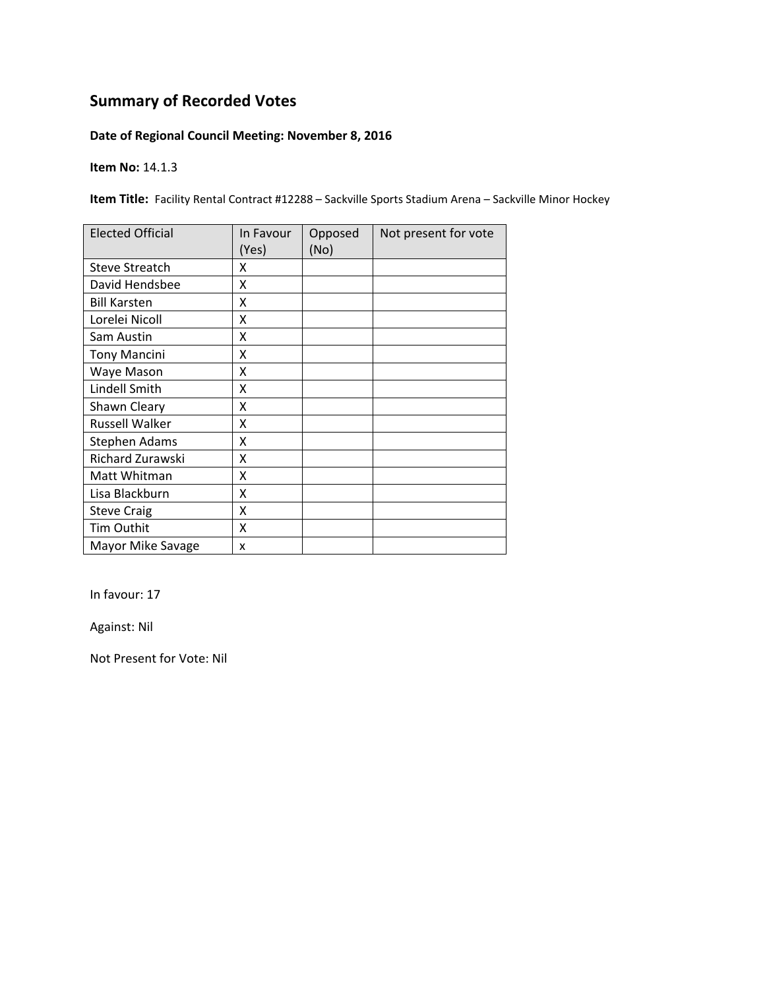### **Date of Regional Council Meeting: November 8, 2016**

**Item No:** 14.1.3

**Item Title:** Facility Rental Contract #12288 - Sackville Sports Stadium Arena - Sackville Minor Hockey

| <b>Elected Official</b> | In Favour<br>(Yes) | Opposed<br>(No) | Not present for vote |
|-------------------------|--------------------|-----------------|----------------------|
| <b>Steve Streatch</b>   | x                  |                 |                      |
| David Hendsbee          | X                  |                 |                      |
| <b>Bill Karsten</b>     | x                  |                 |                      |
| Lorelei Nicoll          | x                  |                 |                      |
| Sam Austin              | Χ                  |                 |                      |
| <b>Tony Mancini</b>     | Χ                  |                 |                      |
| Waye Mason              | X                  |                 |                      |
| Lindell Smith           | X                  |                 |                      |
| Shawn Cleary            | x                  |                 |                      |
| <b>Russell Walker</b>   | X                  |                 |                      |
| Stephen Adams           | X                  |                 |                      |
| Richard Zurawski        | X                  |                 |                      |
| Matt Whitman            | X                  |                 |                      |
| Lisa Blackburn          | X                  |                 |                      |
| <b>Steve Craig</b>      | X                  |                 |                      |
| <b>Tim Outhit</b>       | X                  |                 |                      |
| Mayor Mike Savage       | X                  |                 |                      |

In favour: 17

Against: Nil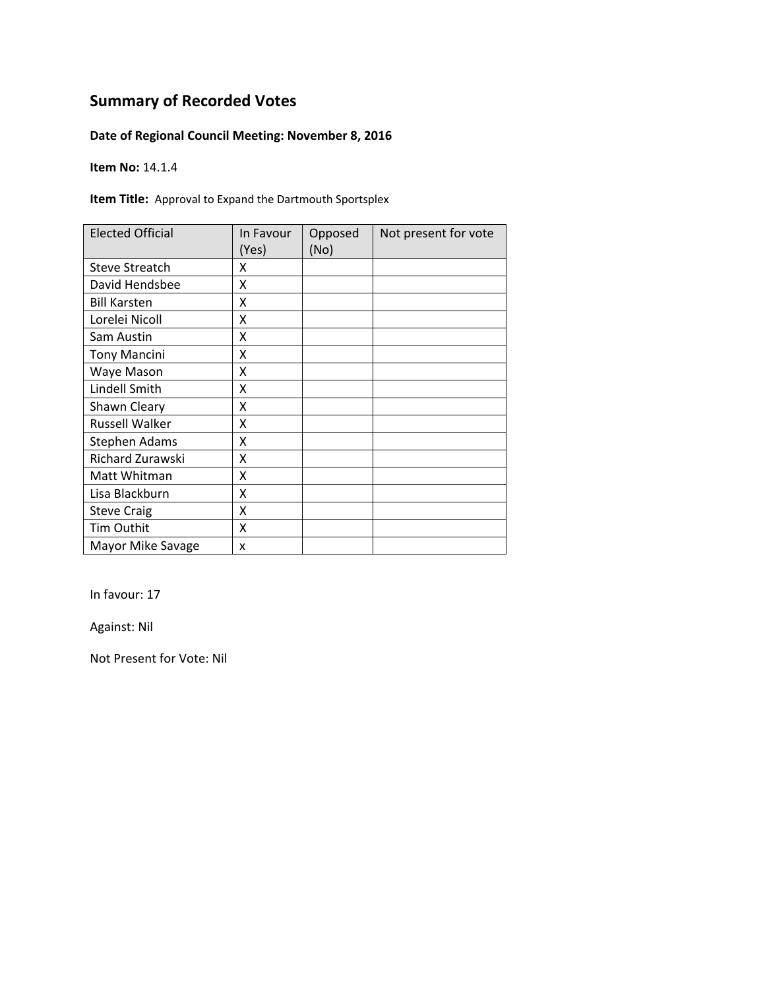### **Date of Regional Council Meeting: November 8, 2016**

**Item No:** 14.1.4

**Item Title:** Approval to Expand the Dartmouth Sportsplex

| <b>Elected Official</b> | In Favour<br>(Yes) | Opposed<br>(No) | Not present for vote |
|-------------------------|--------------------|-----------------|----------------------|
| <b>Steve Streatch</b>   | x                  |                 |                      |
| David Hendsbee          | Χ                  |                 |                      |
| <b>Bill Karsten</b>     | x                  |                 |                      |
| Lorelei Nicoll          | x                  |                 |                      |
| Sam Austin              | x                  |                 |                      |
| <b>Tony Mancini</b>     | Χ                  |                 |                      |
| Waye Mason              | χ                  |                 |                      |
| Lindell Smith           | x                  |                 |                      |
| Shawn Cleary            | χ                  |                 |                      |
| <b>Russell Walker</b>   | Χ                  |                 |                      |
| Stephen Adams           | X                  |                 |                      |
| Richard Zurawski        | Χ                  |                 |                      |
| Matt Whitman            | X                  |                 |                      |
| Lisa Blackburn          | X                  |                 |                      |
| <b>Steve Craig</b>      | X                  |                 |                      |
| Tim Outhit              | X                  |                 |                      |
| Mayor Mike Savage       | x                  |                 |                      |

In favour: 17

Against: Nil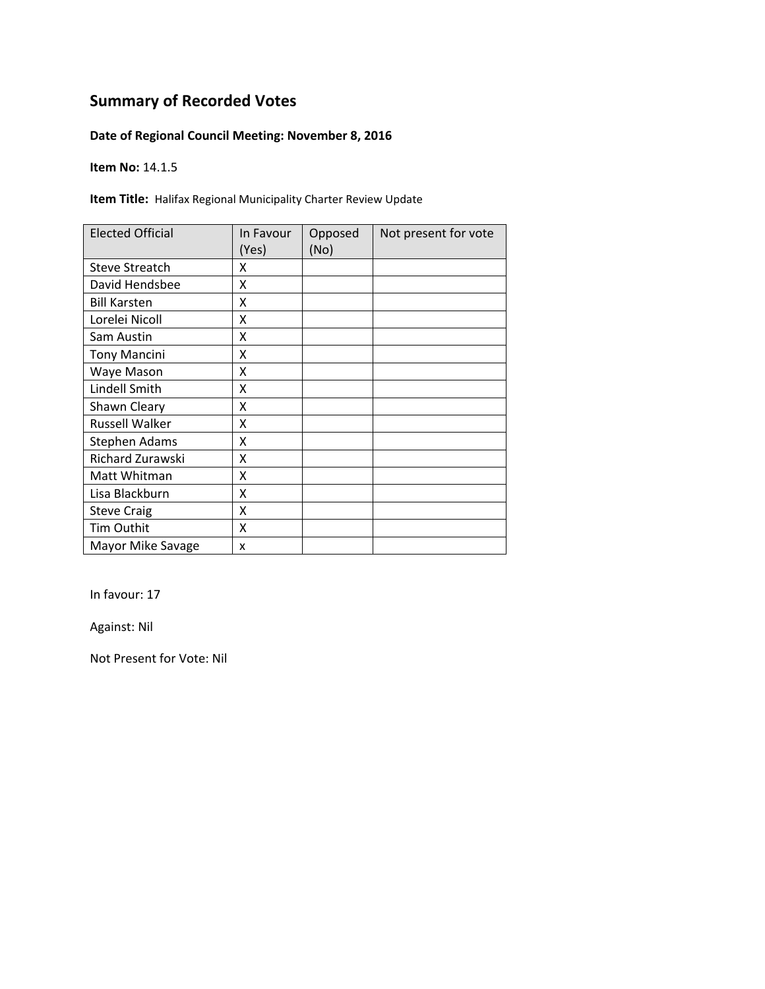### **Date of Regional Council Meeting: November 8, 2016**

**Item No:** 14.1.5

**Item Title:** Halifax Regional Municipality Charter Review Update

| <b>Elected Official</b> | In Favour<br>(Yes) | Opposed<br>(No) | Not present for vote |
|-------------------------|--------------------|-----------------|----------------------|
| <b>Steve Streatch</b>   | χ                  |                 |                      |
| David Hendsbee          | χ                  |                 |                      |
| <b>Bill Karsten</b>     | χ                  |                 |                      |
| Lorelei Nicoll          | Χ                  |                 |                      |
| Sam Austin              | X                  |                 |                      |
| <b>Tony Mancini</b>     | Χ                  |                 |                      |
| Waye Mason              | X                  |                 |                      |
| Lindell Smith           | χ                  |                 |                      |
| Shawn Cleary            | χ                  |                 |                      |
| Russell Walker          | χ                  |                 |                      |
| <b>Stephen Adams</b>    | χ                  |                 |                      |
| Richard Zurawski        | X                  |                 |                      |
| Matt Whitman            | X                  |                 |                      |
| Lisa Blackburn          | X                  |                 |                      |
| <b>Steve Craig</b>      | Χ                  |                 |                      |
| Tim Outhit              | Χ                  |                 |                      |
| Mayor Mike Savage       | X                  |                 |                      |

In favour: 17

Against: Nil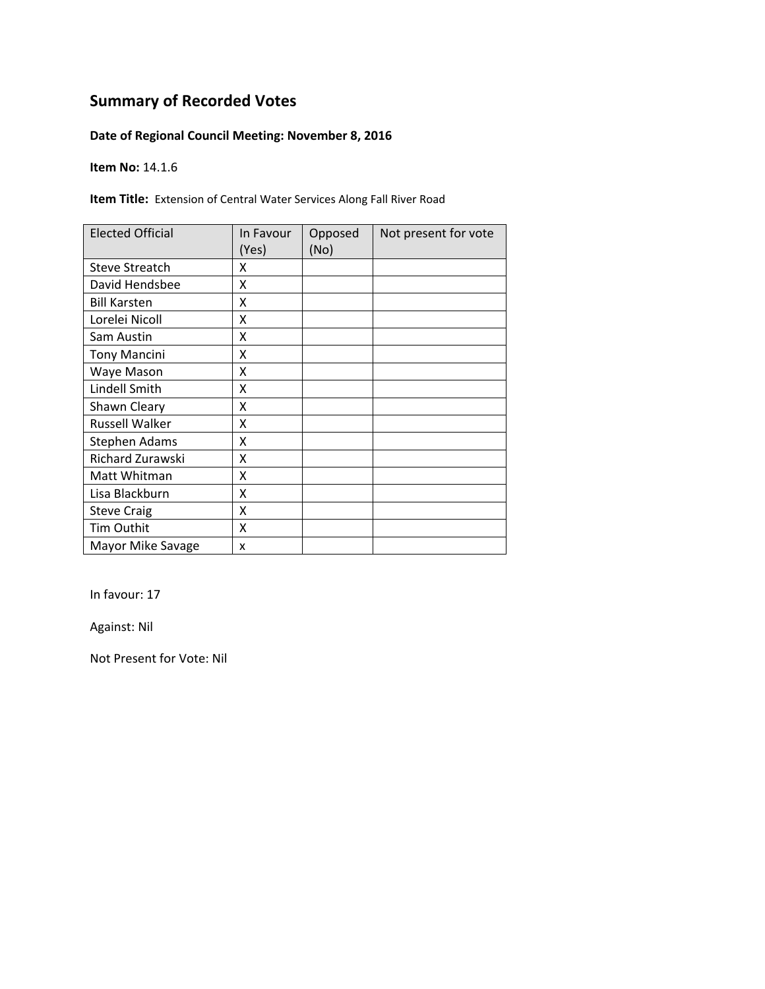### **Date of Regional Council Meeting: November 8, 2016**

**Item No:** 14.1.6

**Item Title:** Extension of Central Water Services Along Fall River Road

| <b>Elected Official</b> | In Favour<br>(Yes) | Opposed<br>(No) | Not present for vote |
|-------------------------|--------------------|-----------------|----------------------|
| <b>Steve Streatch</b>   | χ                  |                 |                      |
| David Hendsbee          | χ                  |                 |                      |
| <b>Bill Karsten</b>     | χ                  |                 |                      |
| Lorelei Nicoll          | Χ                  |                 |                      |
| Sam Austin              | X                  |                 |                      |
| <b>Tony Mancini</b>     | Χ                  |                 |                      |
| Waye Mason              | X                  |                 |                      |
| Lindell Smith           | χ                  |                 |                      |
| Shawn Cleary            | χ                  |                 |                      |
| Russell Walker          | χ                  |                 |                      |
| <b>Stephen Adams</b>    | χ                  |                 |                      |
| Richard Zurawski        | X                  |                 |                      |
| Matt Whitman            | X                  |                 |                      |
| Lisa Blackburn          | X                  |                 |                      |
| <b>Steve Craig</b>      | Χ                  |                 |                      |
| Tim Outhit              | Χ                  |                 |                      |
| Mayor Mike Savage       | X                  |                 |                      |

In favour: 17

Against: Nil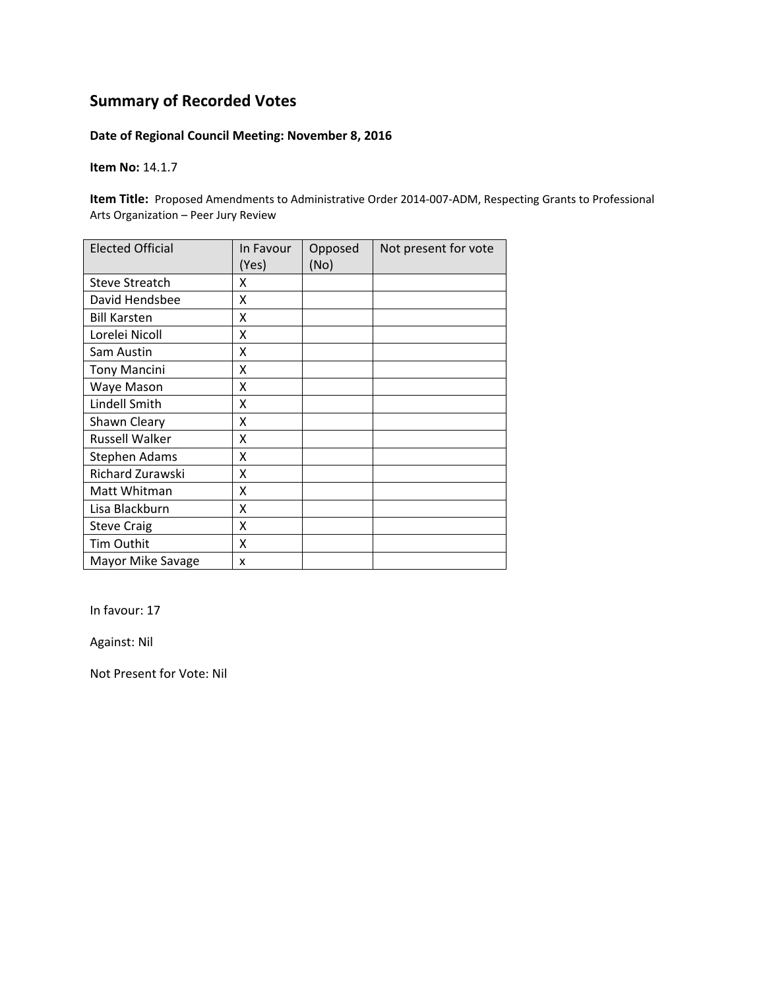#### **Date of Regional Council Meeting: November 8, 2016**

**Item No:** 14.1.7

**Item Title:** Proposed Amendments to Administrative Order 2014-007-ADM, Respecting Grants to Professional Arts Organization – Peer Jury Review

| <b>Elected Official</b> | In Favour<br>(Yes) | Opposed<br>(No) | Not present for vote |
|-------------------------|--------------------|-----------------|----------------------|
| <b>Steve Streatch</b>   | Χ                  |                 |                      |
| David Hendsbee          | Χ                  |                 |                      |
| <b>Bill Karsten</b>     | x                  |                 |                      |
| Lorelei Nicoll          | Χ                  |                 |                      |
| Sam Austin              | X                  |                 |                      |
| <b>Tony Mancini</b>     | Χ                  |                 |                      |
| Waye Mason              | X                  |                 |                      |
| Lindell Smith           | X                  |                 |                      |
| Shawn Cleary            | Χ                  |                 |                      |
| <b>Russell Walker</b>   | X                  |                 |                      |
| <b>Stephen Adams</b>    | X                  |                 |                      |
| Richard Zurawski        | x                  |                 |                      |
| Matt Whitman            | Χ                  |                 |                      |
| Lisa Blackburn          | Χ                  |                 |                      |
| <b>Steve Craig</b>      | Χ                  |                 |                      |
| Tim Outhit              | X                  |                 |                      |
| Mayor Mike Savage       | x                  |                 |                      |

In favour: 17

Against: Nil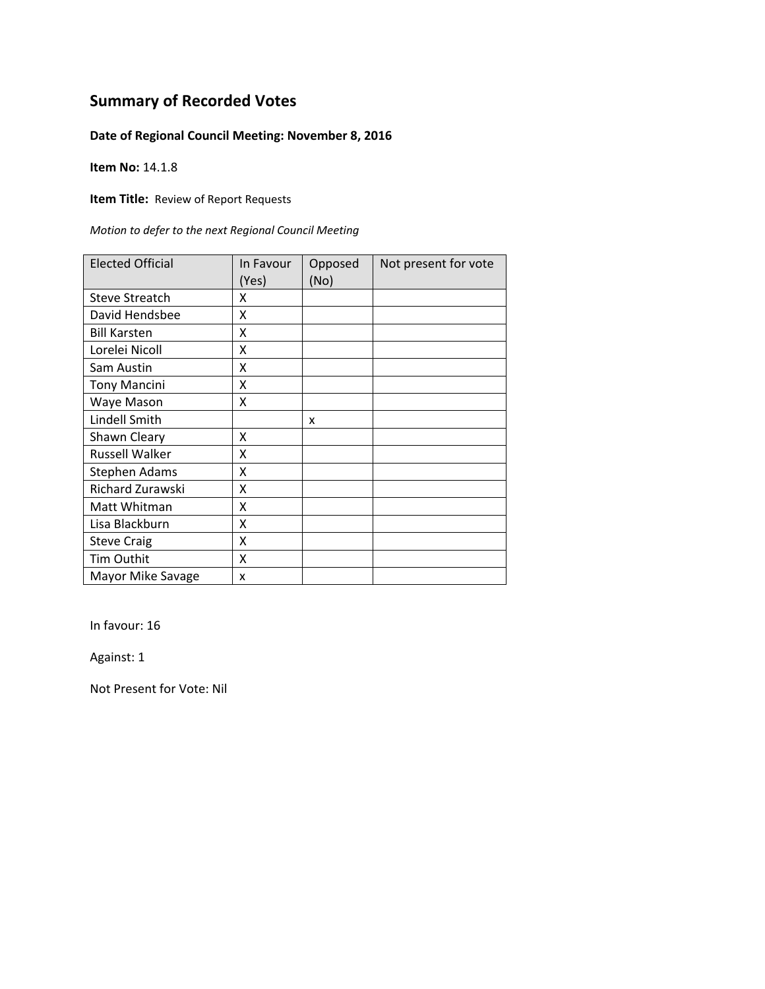### **Date of Regional Council Meeting: November 8, 2016**

**Item No:** 14.1.8

**Item Title: Review of Report Requests** 

| <b>Elected Official</b> | In Favour<br>(Yes) | Opposed<br>(No) | Not present for vote |
|-------------------------|--------------------|-----------------|----------------------|
| <b>Steve Streatch</b>   | χ                  |                 |                      |
| David Hendsbee          | Χ                  |                 |                      |
| <b>Bill Karsten</b>     | x                  |                 |                      |
| Lorelei Nicoll          | x                  |                 |                      |
| Sam Austin              | X                  |                 |                      |
| <b>Tony Mancini</b>     | x                  |                 |                      |
| Waye Mason              | x                  |                 |                      |
| Lindell Smith           |                    | x               |                      |
| Shawn Cleary            | x                  |                 |                      |
| <b>Russell Walker</b>   | X                  |                 |                      |
| <b>Stephen Adams</b>    | X                  |                 |                      |
| Richard Zurawski        | X                  |                 |                      |
| Matt Whitman            | X                  |                 |                      |
| Lisa Blackburn          | X                  |                 |                      |
| <b>Steve Craig</b>      | X                  |                 |                      |
| Tim Outhit              | X                  |                 |                      |
| Mayor Mike Savage       | x                  |                 |                      |

In favour: 16

Against: 1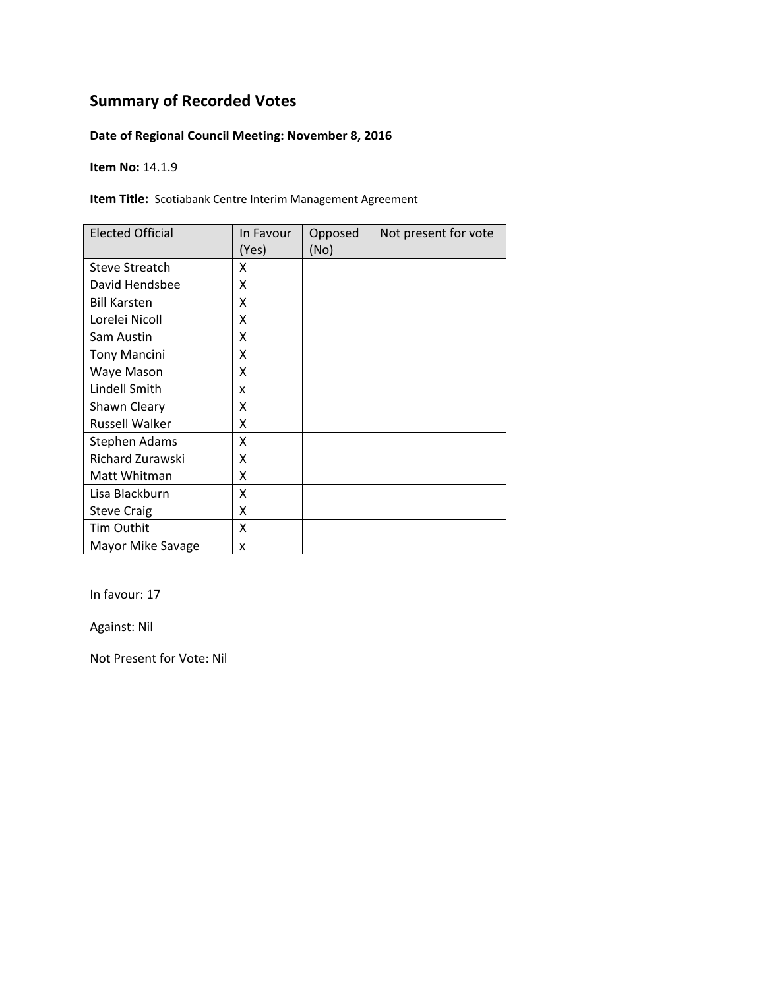### **Date of Regional Council Meeting: November 8, 2016**

**Item No:** 14.1.9

**Item Title:** Scotiabank Centre Interim Management Agreement

| <b>Elected Official</b> | In Favour<br>(Yes) | Opposed<br>(No) | Not present for vote |
|-------------------------|--------------------|-----------------|----------------------|
| <b>Steve Streatch</b>   | x                  |                 |                      |
| David Hendsbee          | X                  |                 |                      |
| <b>Bill Karsten</b>     | x                  |                 |                      |
| Lorelei Nicoll          | X                  |                 |                      |
| Sam Austin              | X                  |                 |                      |
| <b>Tony Mancini</b>     | Χ                  |                 |                      |
| Waye Mason              | X                  |                 |                      |
| Lindell Smith           | x                  |                 |                      |
| Shawn Cleary            | x                  |                 |                      |
| <b>Russell Walker</b>   | X                  |                 |                      |
| <b>Stephen Adams</b>    | X                  |                 |                      |
| Richard Zurawski        | Χ                  |                 |                      |
| Matt Whitman            | X                  |                 |                      |
| Lisa Blackburn          | X                  |                 |                      |
| <b>Steve Craig</b>      | X                  |                 |                      |
| Tim Outhit              | X                  |                 |                      |
| Mayor Mike Savage       | x                  |                 |                      |

In favour: 17

Against: Nil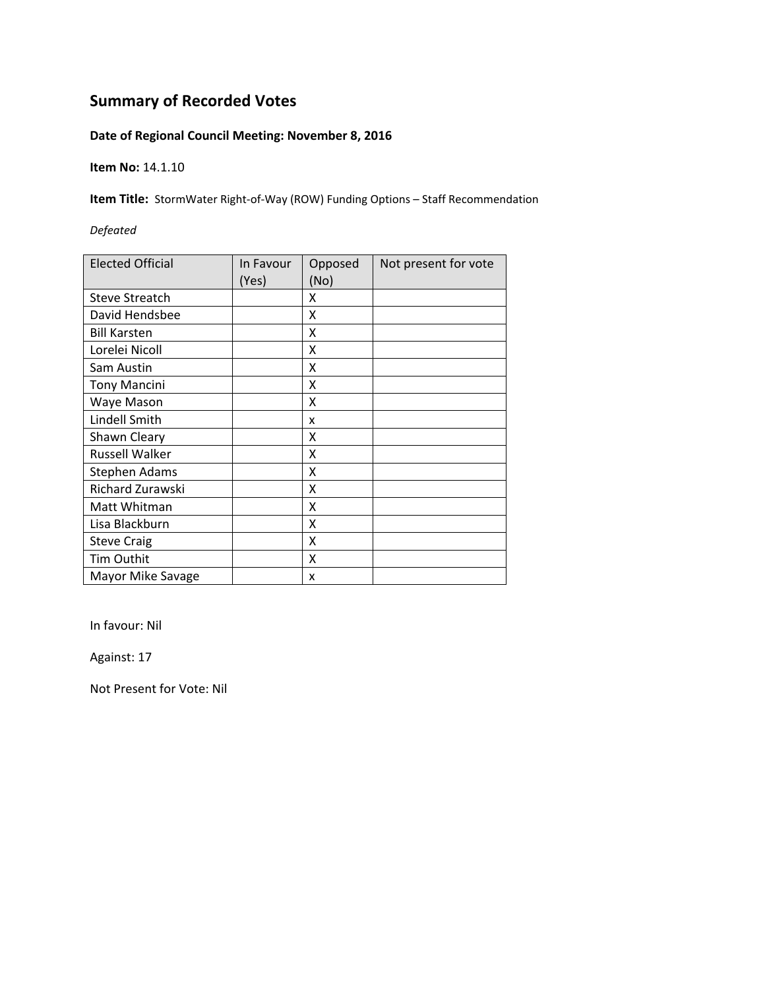### **Date of Regional Council Meeting: November 8, 2016**

**Item No:** 14.1.10

**Item Title:** StormWater Right-of-Way (ROW) Funding Options – Staff Recommendation

#### *Defeated*

| <b>Elected Official</b> | In Favour<br>(Yes) | Opposed<br>(No) | Not present for vote |
|-------------------------|--------------------|-----------------|----------------------|
| <b>Steve Streatch</b>   |                    | X               |                      |
| David Hendsbee          |                    | X               |                      |
| <b>Bill Karsten</b>     |                    | x               |                      |
| Lorelei Nicoll          |                    | X               |                      |
| Sam Austin              |                    | X               |                      |
| <b>Tony Mancini</b>     |                    | X               |                      |
| Waye Mason              |                    | x               |                      |
| Lindell Smith           |                    | x               |                      |
| Shawn Cleary            |                    | x               |                      |
| <b>Russell Walker</b>   |                    | x               |                      |
| <b>Stephen Adams</b>    |                    | X               |                      |
| Richard Zurawski        |                    | X               |                      |
| Matt Whitman            |                    | Χ               |                      |
| Lisa Blackburn          |                    | X               |                      |
| <b>Steve Craig</b>      |                    | X               |                      |
| Tim Outhit              |                    | x               |                      |
| Mayor Mike Savage       |                    | x               |                      |

In favour: Nil

Against: 17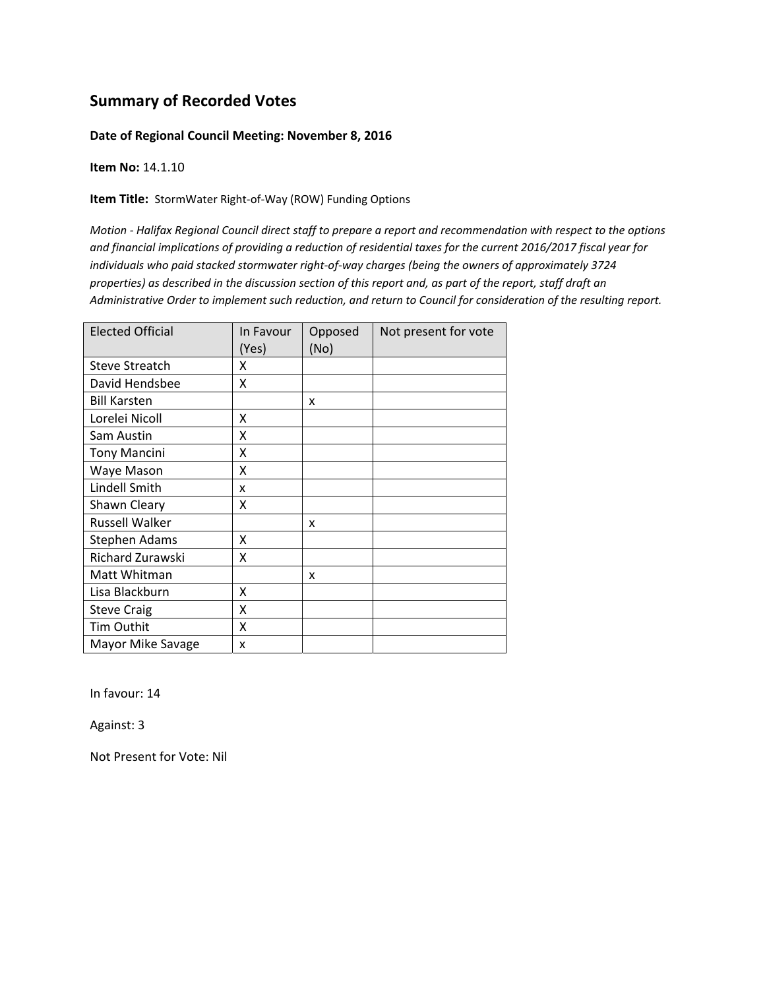#### **Date of Regional Council Meeting: November 8, 2016**

**Item No:** 14.1.10

**Item Title:** StormWater Right‐of‐Way (ROW) Funding Options

Motion - Halifax Regional Council direct staff to prepare a report and recommendation with respect to the options and financial implications of providing a reduction of residential taxes for the current 2016/2017 fiscal year for *individuals who paid stacked stormwater right‐of‐way charges (being the owners of approximately 3724* properties) as described in the discussion section of this report and, as part of the report, staff draft an Administrative Order to implement such reduction, and return to Council for consideration of the resulting report.

| <b>Elected Official</b> | In Favour<br>(Yes) | Opposed<br>(No) | Not present for vote |
|-------------------------|--------------------|-----------------|----------------------|
| <b>Steve Streatch</b>   | Χ                  |                 |                      |
| David Hendsbee          | X                  |                 |                      |
| <b>Bill Karsten</b>     |                    | x               |                      |
| Lorelei Nicoll          | X                  |                 |                      |
| Sam Austin              | x                  |                 |                      |
| <b>Tony Mancini</b>     | x                  |                 |                      |
| Waye Mason              | Χ                  |                 |                      |
| Lindell Smith           | X                  |                 |                      |
| Shawn Cleary            | x                  |                 |                      |
| <b>Russell Walker</b>   |                    | x               |                      |
| <b>Stephen Adams</b>    | x                  |                 |                      |
| Richard Zurawski        | x                  |                 |                      |
| Matt Whitman            |                    | X               |                      |
| Lisa Blackburn          | X                  |                 |                      |
| <b>Steve Craig</b>      | X                  |                 |                      |
| <b>Tim Outhit</b>       | X                  |                 |                      |
| Mayor Mike Savage       | x                  |                 |                      |

In favour: 14

Against: 3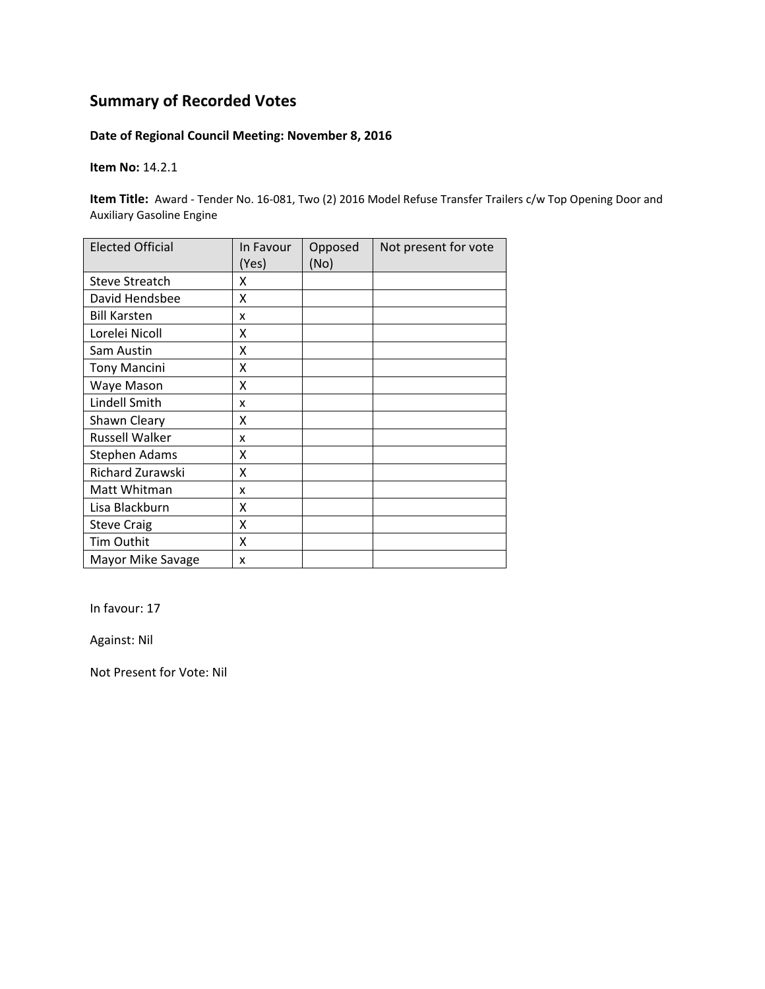#### **Date of Regional Council Meeting: November 8, 2016**

**Item No:** 14.2.1

**Item Title:** Award - Tender No. 16-081, Two (2) 2016 Model Refuse Transfer Trailers c/w Top Opening Door and Auxiliary Gasoline Engine

| <b>Elected Official</b> | In Favour<br>(Yes) | Opposed<br>(No) | Not present for vote |
|-------------------------|--------------------|-----------------|----------------------|
| <b>Steve Streatch</b>   | x                  |                 |                      |
| David Hendsbee          | Χ                  |                 |                      |
| <b>Bill Karsten</b>     | x                  |                 |                      |
| Lorelei Nicoll          | x                  |                 |                      |
| Sam Austin              | Χ                  |                 |                      |
| <b>Tony Mancini</b>     | X                  |                 |                      |
| Waye Mason              | X                  |                 |                      |
| Lindell Smith           | x                  |                 |                      |
| Shawn Cleary            | X                  |                 |                      |
| <b>Russell Walker</b>   | x                  |                 |                      |
| <b>Stephen Adams</b>    | Χ                  |                 |                      |
| Richard Zurawski        | X                  |                 |                      |
| Matt Whitman            | x                  |                 |                      |
| Lisa Blackburn          | Χ                  |                 |                      |
| <b>Steve Craig</b>      | X                  |                 |                      |
| Tim Outhit              | Χ                  |                 |                      |
| Mayor Mike Savage       | X                  |                 |                      |

In favour: 17

Against: Nil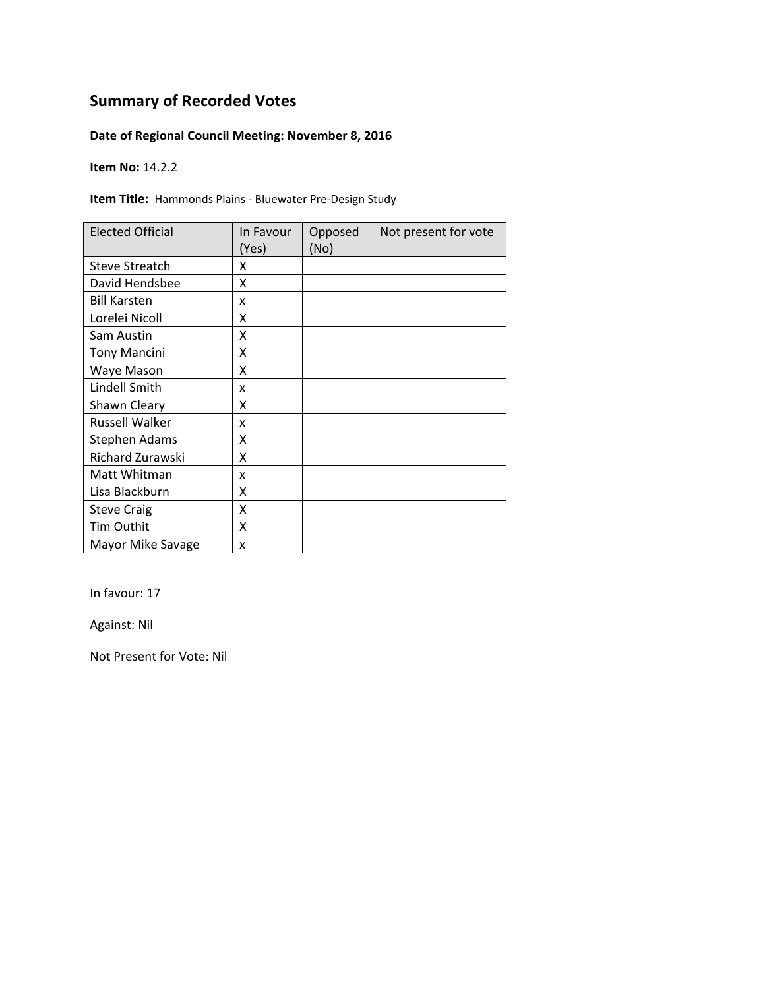### **Date of Regional Council Meeting: November 8, 2016**

**Item No:** 14.2.2

**Item Title:** Hammonds Plains ‐ Bluewater Pre‐Design Study

| <b>Elected Official</b> | In Favour<br>(Yes) | Opposed<br>(No) | Not present for vote |
|-------------------------|--------------------|-----------------|----------------------|
| <b>Steve Streatch</b>   | x                  |                 |                      |
| David Hendsbee          | x                  |                 |                      |
| <b>Bill Karsten</b>     | x                  |                 |                      |
| Lorelei Nicoll          | χ                  |                 |                      |
| Sam Austin              | x                  |                 |                      |
| <b>Tony Mancini</b>     | X                  |                 |                      |
| Waye Mason              | Χ                  |                 |                      |
| Lindell Smith           | x                  |                 |                      |
| Shawn Cleary            | x                  |                 |                      |
| <b>Russell Walker</b>   | x                  |                 |                      |
| <b>Stephen Adams</b>    | χ                  |                 |                      |
| Richard Zurawski        | Χ                  |                 |                      |
| Matt Whitman            | x                  |                 |                      |
| Lisa Blackburn          | X                  |                 |                      |
| <b>Steve Craig</b>      | X                  |                 |                      |
| Tim Outhit              | X                  |                 |                      |
| Mayor Mike Savage       | X                  |                 |                      |

In favour: 17

Against: Nil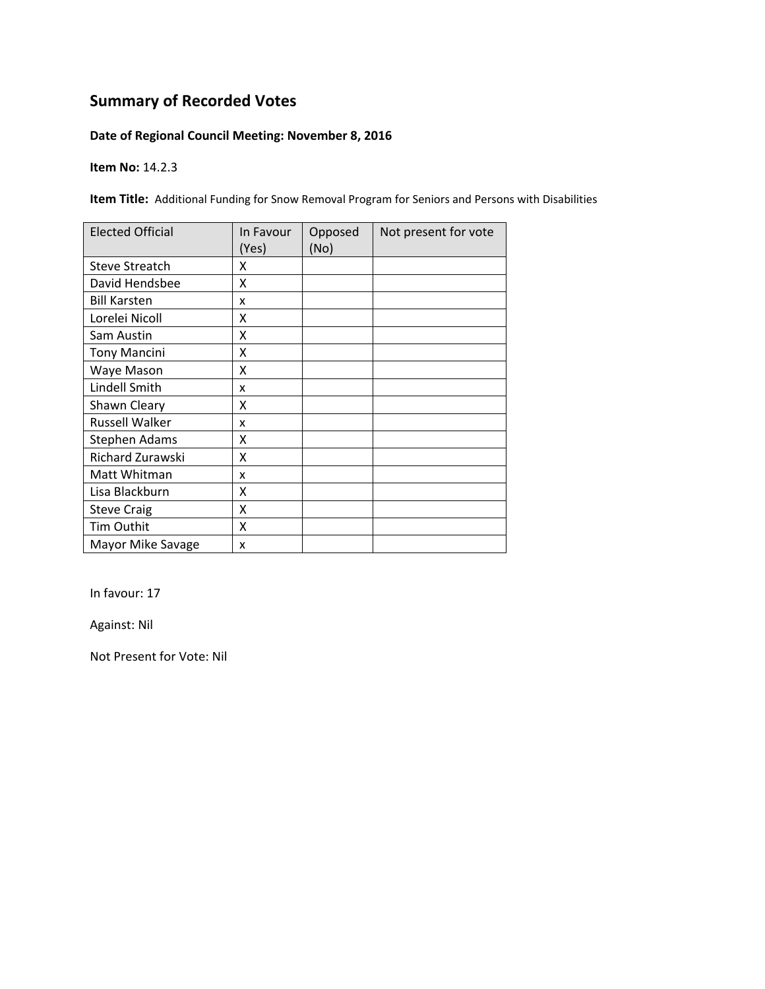### **Date of Regional Council Meeting: November 8, 2016**

**Item No:** 14.2.3

**Item Title:** Additional Funding for Snow Removal Program for Seniors and Persons with Disabilities

| <b>Elected Official</b> | In Favour | Opposed | Not present for vote |
|-------------------------|-----------|---------|----------------------|
|                         | (Yes)     | (No)    |                      |
| <b>Steve Streatch</b>   | x         |         |                      |
| David Hendsbee          | Χ         |         |                      |
| <b>Bill Karsten</b>     | x         |         |                      |
| Lorelei Nicoll          | x         |         |                      |
| Sam Austin              | x         |         |                      |
| <b>Tony Mancini</b>     | x         |         |                      |
| Waye Mason              | X         |         |                      |
| Lindell Smith           | x         |         |                      |
| Shawn Cleary            | X         |         |                      |
| <b>Russell Walker</b>   | x         |         |                      |
| Stephen Adams           | X         |         |                      |
| Richard Zurawski        | X         |         |                      |
| Matt Whitman            | x         |         |                      |
| Lisa Blackburn          | X         |         |                      |
| <b>Steve Craig</b>      | Χ         |         |                      |
| Tim Outhit              | Χ         |         |                      |
| Mayor Mike Savage       | x         |         |                      |

In favour: 17

Against: Nil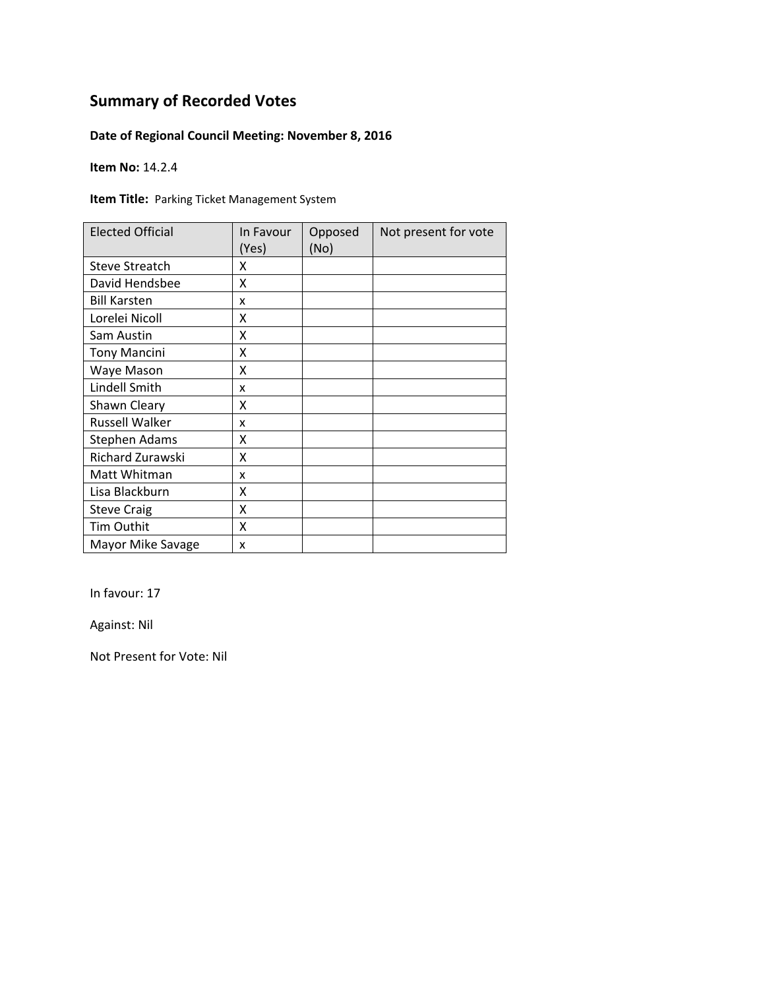### **Date of Regional Council Meeting: November 8, 2016**

**Item No:** 14.2.4

**Item Title:** Parking Ticket Management System

| <b>Elected Official</b> | In Favour<br>(Yes) | Opposed<br>(No) | Not present for vote |
|-------------------------|--------------------|-----------------|----------------------|
| <b>Steve Streatch</b>   | x                  |                 |                      |
| David Hendsbee          | x                  |                 |                      |
| <b>Bill Karsten</b>     | x                  |                 |                      |
| Lorelei Nicoll          | χ                  |                 |                      |
| Sam Austin              | x                  |                 |                      |
| <b>Tony Mancini</b>     | X                  |                 |                      |
| Waye Mason              | Χ                  |                 |                      |
| Lindell Smith           | x                  |                 |                      |
| Shawn Cleary            | x                  |                 |                      |
| <b>Russell Walker</b>   | x                  |                 |                      |
| <b>Stephen Adams</b>    | χ                  |                 |                      |
| Richard Zurawski        | Χ                  |                 |                      |
| Matt Whitman            | x                  |                 |                      |
| Lisa Blackburn          | X                  |                 |                      |
| <b>Steve Craig</b>      | X                  |                 |                      |
| Tim Outhit              | X                  |                 |                      |
| Mayor Mike Savage       | X                  |                 |                      |

In favour: 17

Against: Nil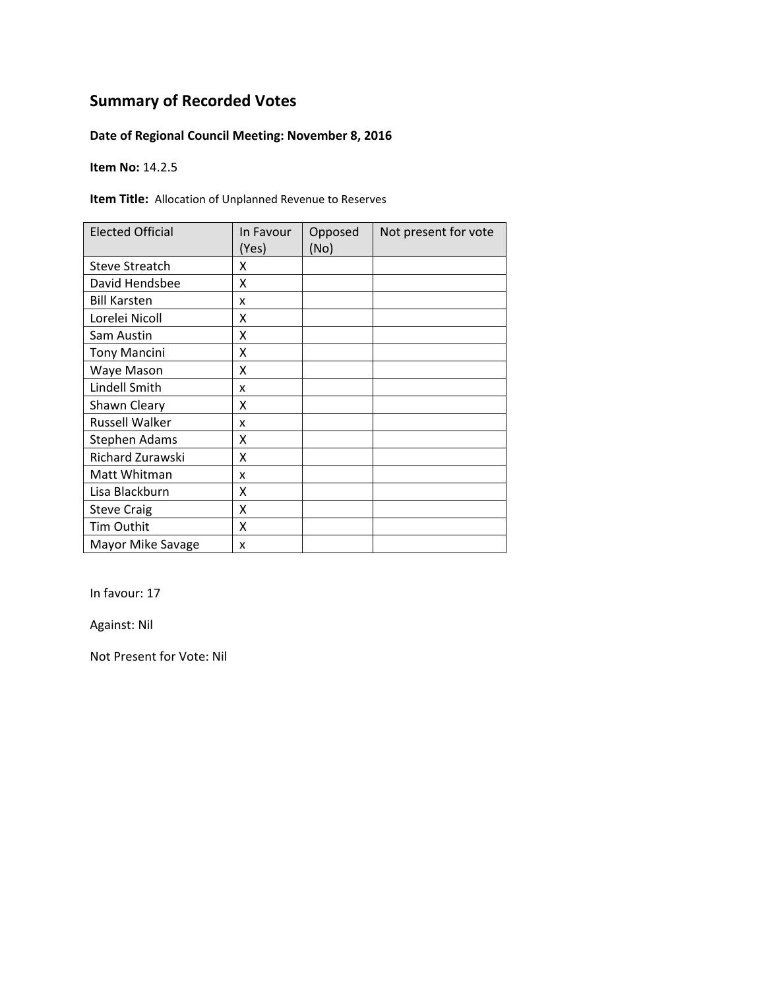### **Date of Regional Council Meeting: November 8, 2016**

**Item No:** 14.2.5

**Item Title:** Allocation of Unplanned Revenue to Reserves

| <b>Elected Official</b> | In Favour<br>(Yes) | Opposed<br>(No) | Not present for vote |
|-------------------------|--------------------|-----------------|----------------------|
| <b>Steve Streatch</b>   | x                  |                 |                      |
| David Hendsbee          | x                  |                 |                      |
| <b>Bill Karsten</b>     | x                  |                 |                      |
| Lorelei Nicoll          | χ                  |                 |                      |
| Sam Austin              | x                  |                 |                      |
| <b>Tony Mancini</b>     | X                  |                 |                      |
| Waye Mason              | Χ                  |                 |                      |
| Lindell Smith           | x                  |                 |                      |
| Shawn Cleary            | x                  |                 |                      |
| <b>Russell Walker</b>   | x                  |                 |                      |
| <b>Stephen Adams</b>    | χ                  |                 |                      |
| Richard Zurawski        | Χ                  |                 |                      |
| Matt Whitman            | x                  |                 |                      |
| Lisa Blackburn          | X                  |                 |                      |
| <b>Steve Craig</b>      | X                  |                 |                      |
| Tim Outhit              | X                  |                 |                      |
| Mayor Mike Savage       | X                  |                 |                      |

In favour: 17

Against: Nil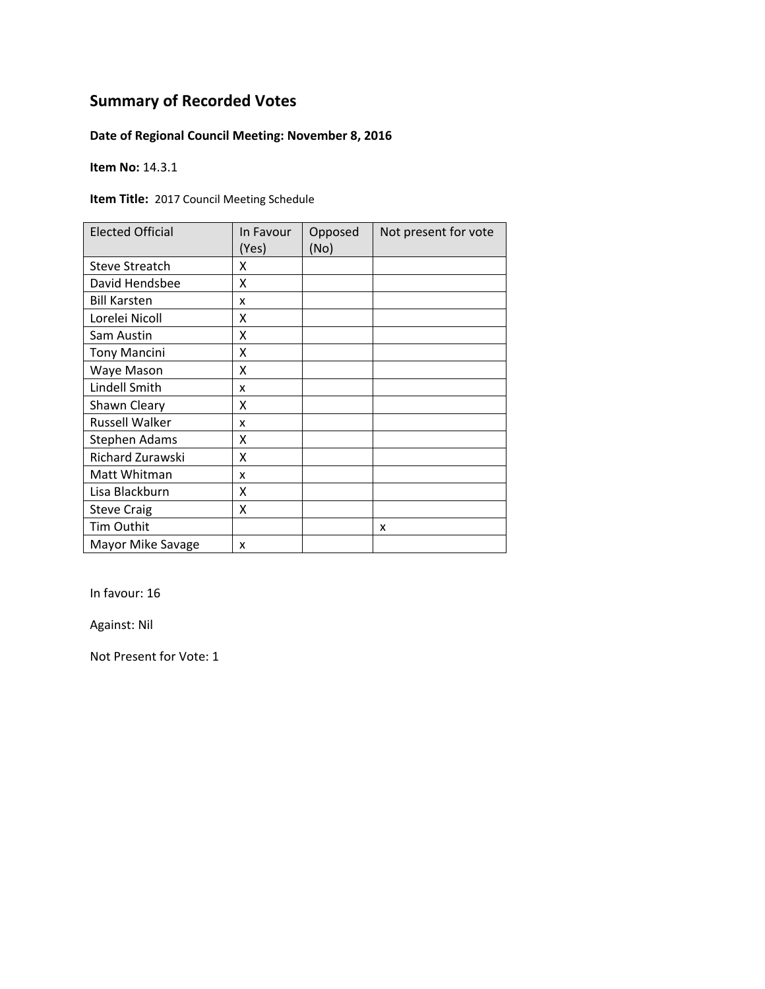### **Date of Regional Council Meeting: November 8, 2016**

**Item No:** 14.3.1

**Item Title:** 2017 Council Meeting Schedule

| <b>Elected Official</b> | In Favour<br>(Yes) | Opposed<br>(No) | Not present for vote |
|-------------------------|--------------------|-----------------|----------------------|
| <b>Steve Streatch</b>   | x                  |                 |                      |
| David Hendsbee          | Χ                  |                 |                      |
| <b>Bill Karsten</b>     | x                  |                 |                      |
| Lorelei Nicoll          | x                  |                 |                      |
| Sam Austin              | Χ                  |                 |                      |
| <b>Tony Mancini</b>     | x                  |                 |                      |
| Waye Mason              | X                  |                 |                      |
| Lindell Smith           | x                  |                 |                      |
| Shawn Cleary            | X                  |                 |                      |
| <b>Russell Walker</b>   | x                  |                 |                      |
| <b>Stephen Adams</b>    | χ                  |                 |                      |
| Richard Zurawski        | χ                  |                 |                      |
| Matt Whitman            | x                  |                 |                      |
| Lisa Blackburn          | χ                  |                 |                      |
| <b>Steve Craig</b>      | X                  |                 |                      |
| Tim Outhit              |                    |                 | X                    |
| Mayor Mike Savage       | x                  |                 |                      |

In favour: 16

Against: Nil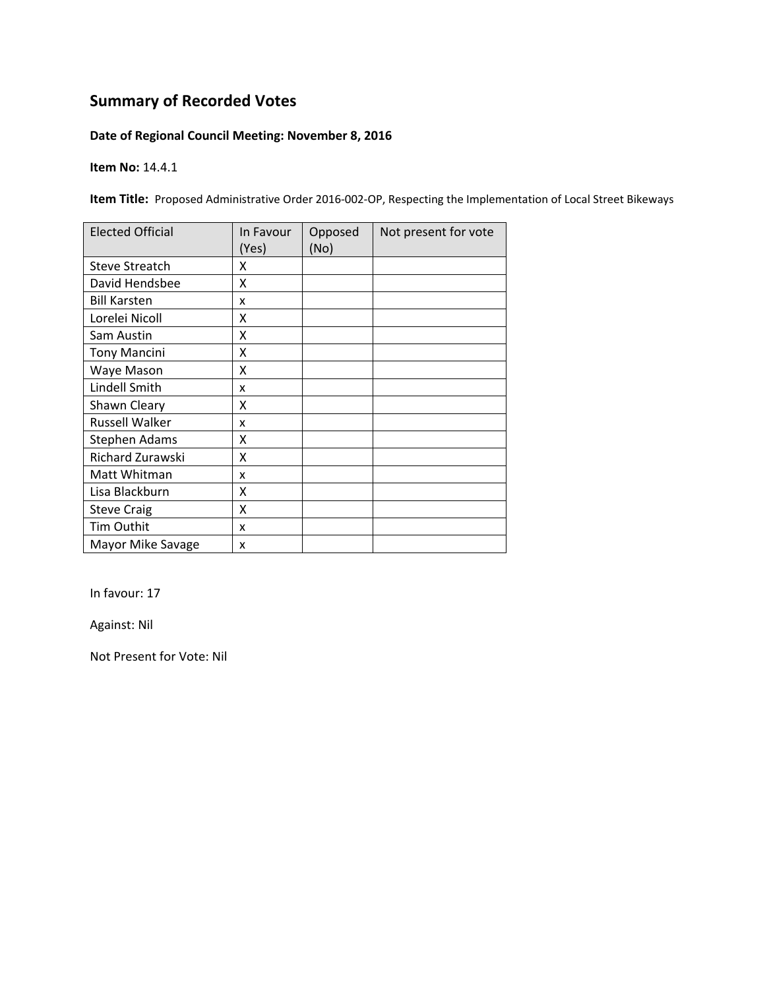#### **Date of Regional Council Meeting: November 8, 2016**

**Item No:** 14.4.1

Item Title: Proposed Administrative Order 2016-002-OP, Respecting the Implementation of Local Street Bikeways

| <b>Elected Official</b> | In Favour<br>(Yes) | Opposed<br>(No) | Not present for vote |
|-------------------------|--------------------|-----------------|----------------------|
| <b>Steve Streatch</b>   | x                  |                 |                      |
| David Hendsbee          | Χ                  |                 |                      |
| <b>Bill Karsten</b>     | x                  |                 |                      |
| Lorelei Nicoll          | X                  |                 |                      |
| Sam Austin              | Χ                  |                 |                      |
| <b>Tony Mancini</b>     | Χ                  |                 |                      |
| Waye Mason              | X                  |                 |                      |
| Lindell Smith           | x                  |                 |                      |
| Shawn Cleary            | x                  |                 |                      |
| <b>Russell Walker</b>   | x                  |                 |                      |
| <b>Stephen Adams</b>    | χ                  |                 |                      |
| Richard Zurawski        | X                  |                 |                      |
| Matt Whitman            | x                  |                 |                      |
| Lisa Blackburn          | X                  |                 |                      |
| <b>Steve Craig</b>      | Χ                  |                 |                      |
| Tim Outhit              | x                  |                 |                      |
| Mayor Mike Savage       | X                  |                 |                      |

In favour: 17

Against: Nil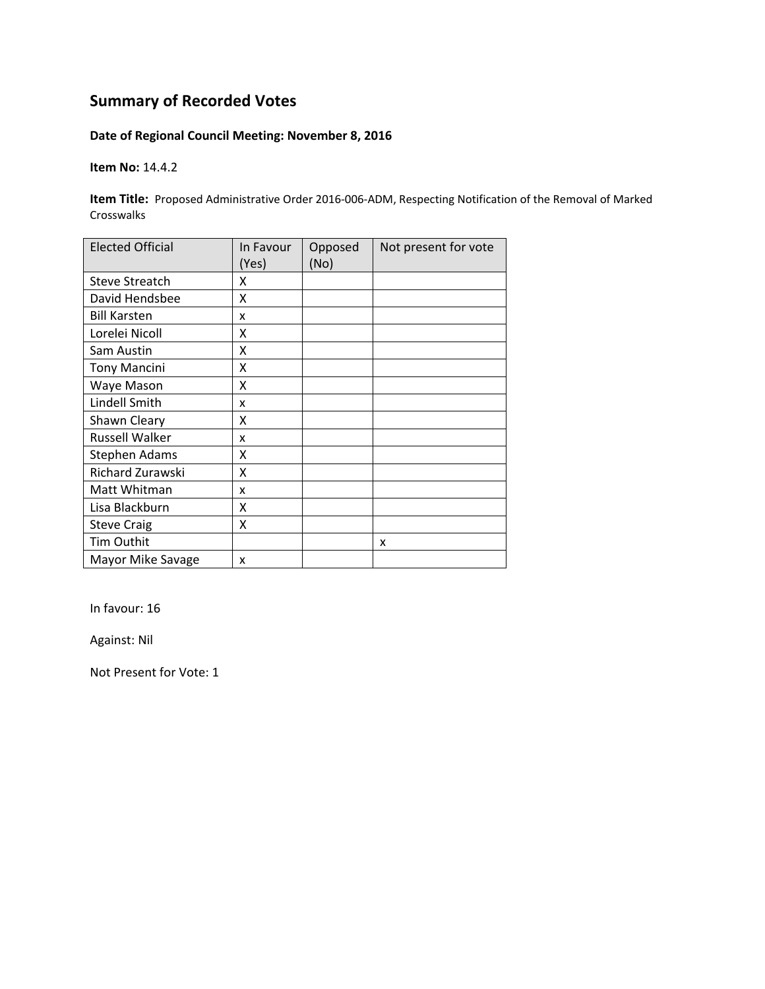### **Date of Regional Council Meeting: November 8, 2016**

**Item No:** 14.4.2

Item Title: Proposed Administrative Order 2016-006-ADM, Respecting Notification of the Removal of Marked Crosswalks

| <b>Elected Official</b> | In Favour<br>(Yes) | Opposed<br>(No) | Not present for vote |
|-------------------------|--------------------|-----------------|----------------------|
| <b>Steve Streatch</b>   | x                  |                 |                      |
| David Hendsbee          | X                  |                 |                      |
| <b>Bill Karsten</b>     | x                  |                 |                      |
| Lorelei Nicoll          | x                  |                 |                      |
| Sam Austin              | X                  |                 |                      |
| <b>Tony Mancini</b>     | X                  |                 |                      |
| Waye Mason              | X                  |                 |                      |
| Lindell Smith           | x                  |                 |                      |
| Shawn Cleary            | X                  |                 |                      |
| <b>Russell Walker</b>   | x                  |                 |                      |
| Stephen Adams           | X                  |                 |                      |
| Richard Zurawski        | X                  |                 |                      |
| Matt Whitman            | x                  |                 |                      |
| Lisa Blackburn          | x                  |                 |                      |
| <b>Steve Craig</b>      | Χ                  |                 |                      |
| Tim Outhit              |                    |                 | x                    |
| Mayor Mike Savage       | x                  |                 |                      |

In favour: 16

Against: Nil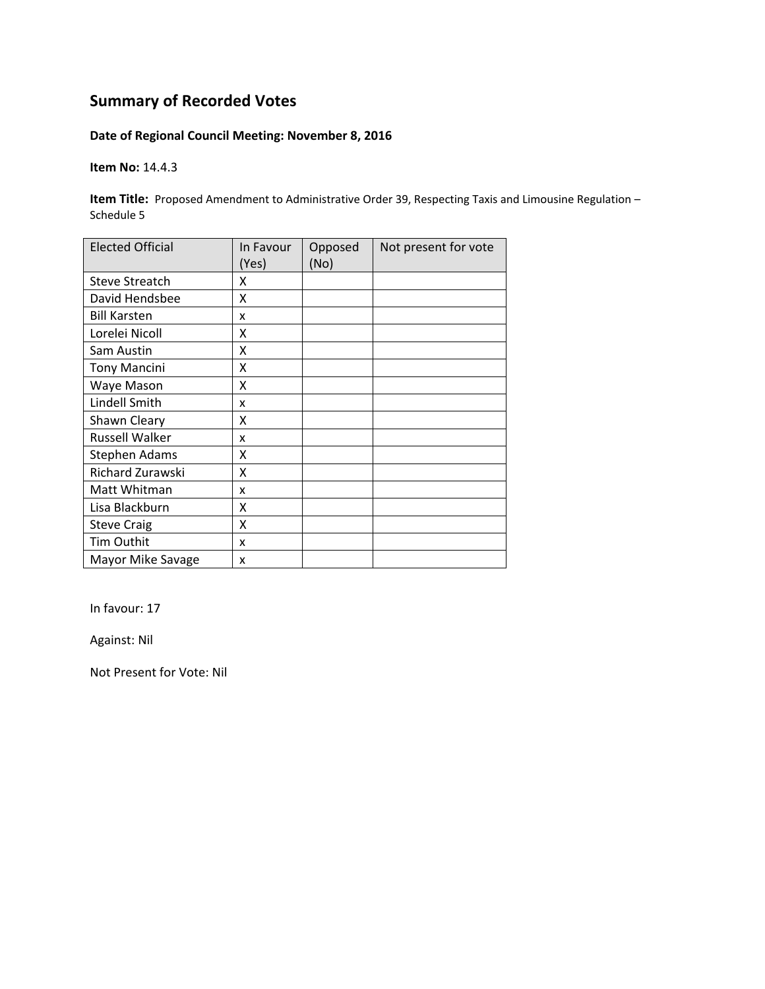### **Date of Regional Council Meeting: November 8, 2016**

**Item No:** 14.4.3

**Item Title:** Proposed Amendment to Administrative Order 39, Respecting Taxis and Limousine Regulation – Schedule 5

| <b>Elected Official</b> | In Favour<br>(Yes) | Opposed<br>(No) | Not present for vote |
|-------------------------|--------------------|-----------------|----------------------|
| <b>Steve Streatch</b>   | x                  |                 |                      |
| David Hendsbee          | Χ                  |                 |                      |
| <b>Bill Karsten</b>     | x                  |                 |                      |
| Lorelei Nicoll          | x                  |                 |                      |
| Sam Austin              | Χ                  |                 |                      |
| <b>Tony Mancini</b>     | X                  |                 |                      |
| Waye Mason              | X                  |                 |                      |
| Lindell Smith           | x                  |                 |                      |
| Shawn Cleary            | X                  |                 |                      |
| <b>Russell Walker</b>   | x                  |                 |                      |
| <b>Stephen Adams</b>    | Χ                  |                 |                      |
| Richard Zurawski        | X                  |                 |                      |
| Matt Whitman            | x                  |                 |                      |
| Lisa Blackburn          | Χ                  |                 |                      |
| <b>Steve Craig</b>      | Χ                  |                 |                      |
| Tim Outhit              | x                  |                 |                      |
| Mayor Mike Savage       | X                  |                 |                      |

In favour: 17

Against: Nil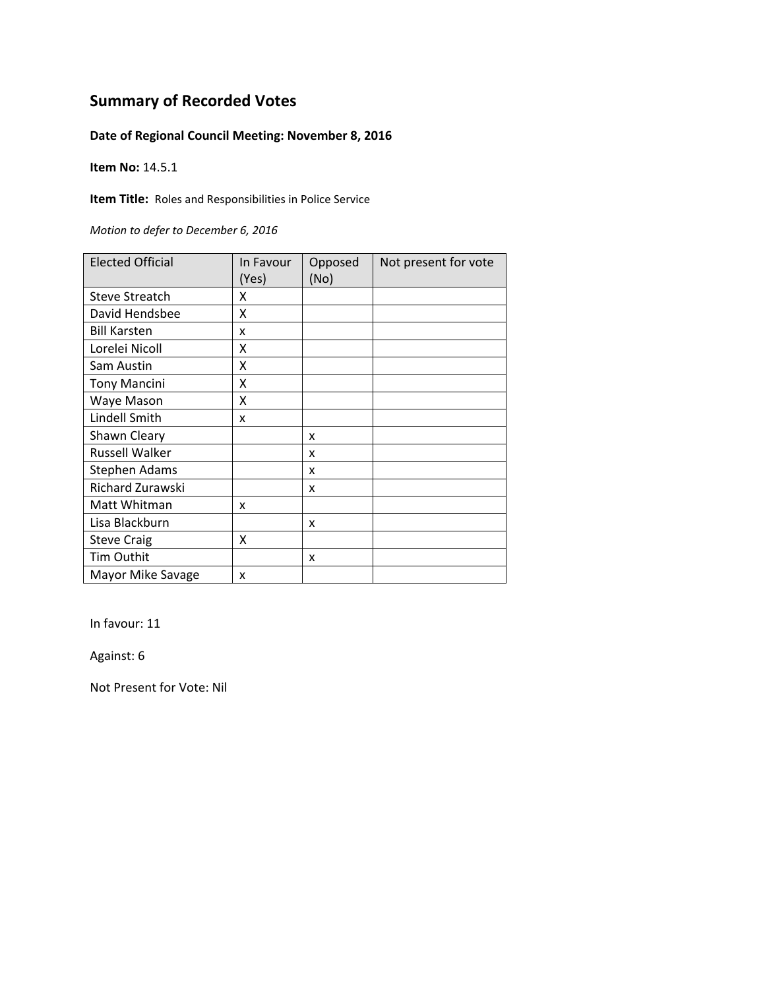### **Date of Regional Council Meeting: November 8, 2016**

**Item No:** 14.5.1

**Item Title:** Roles and Responsibilities in Police Service

*Motion to defer to December 6, 2016*

| <b>Elected Official</b> | In Favour<br>(Yes) | Opposed<br>(No) | Not present for vote |
|-------------------------|--------------------|-----------------|----------------------|
| <b>Steve Streatch</b>   | x                  |                 |                      |
| David Hendsbee          | X                  |                 |                      |
| <b>Bill Karsten</b>     | x                  |                 |                      |
| Lorelei Nicoll          | x                  |                 |                      |
| Sam Austin              | x                  |                 |                      |
| <b>Tony Mancini</b>     | Χ                  |                 |                      |
| Waye Mason              | x                  |                 |                      |
| Lindell Smith           | x                  |                 |                      |
| Shawn Cleary            |                    | x               |                      |
| <b>Russell Walker</b>   |                    | x               |                      |
| Stephen Adams           |                    | x               |                      |
| Richard Zurawski        |                    | x               |                      |
| Matt Whitman            | x                  |                 |                      |
| Lisa Blackburn          |                    | x               |                      |
| <b>Steve Craig</b>      | x                  |                 |                      |
| Tim Outhit              |                    | x               |                      |
| Mayor Mike Savage       | X                  |                 |                      |

In favour: 11

Against: 6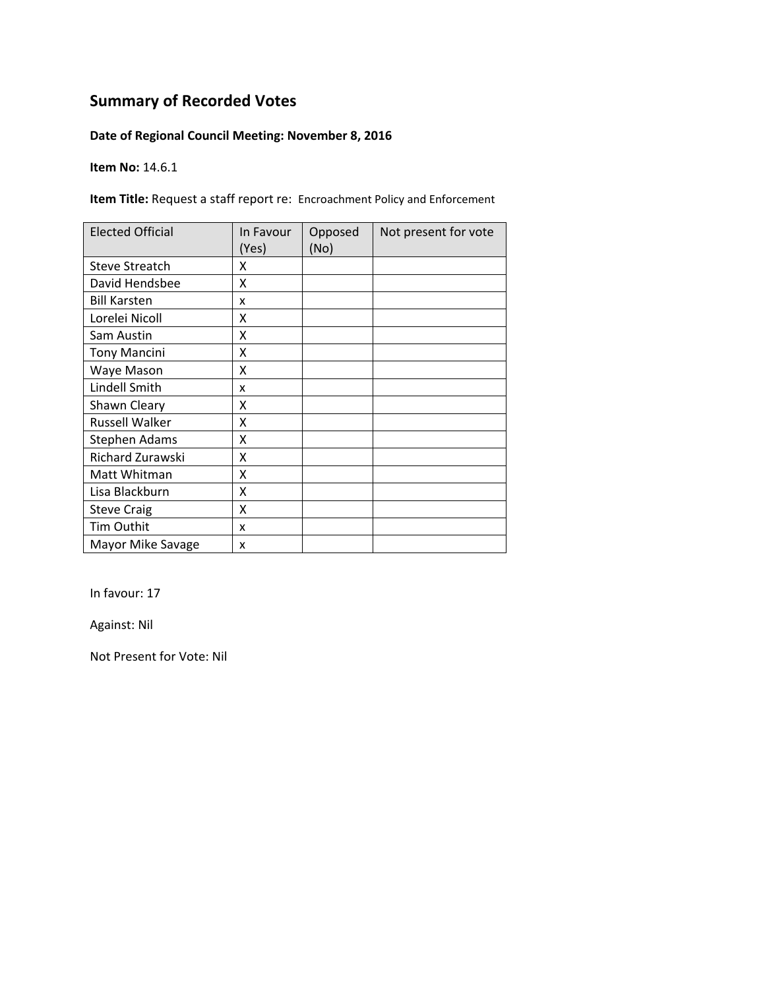### **Date of Regional Council Meeting: November 8, 2016**

**Item No:** 14.6.1

**Item Title:** Request a staff report re: Encroachment Policy and Enforcement

| <b>Elected Official</b> | In Favour<br>(Yes) | Opposed<br>(No) | Not present for vote |
|-------------------------|--------------------|-----------------|----------------------|
| <b>Steve Streatch</b>   | χ                  |                 |                      |
| David Hendsbee          | X                  |                 |                      |
| <b>Bill Karsten</b>     | x                  |                 |                      |
| Lorelei Nicoll          | χ                  |                 |                      |
| Sam Austin              | Χ                  |                 |                      |
| <b>Tony Mancini</b>     | Χ                  |                 |                      |
| Waye Mason              | X                  |                 |                      |
| Lindell Smith           | x                  |                 |                      |
| Shawn Cleary            | χ                  |                 |                      |
| Russell Walker          | χ                  |                 |                      |
| <b>Stephen Adams</b>    | Χ                  |                 |                      |
| Richard Zurawski        | X                  |                 |                      |
| Matt Whitman            | X                  |                 |                      |
| Lisa Blackburn          | X                  |                 |                      |
| <b>Steve Craig</b>      | Χ                  |                 |                      |
| Tim Outhit              | x                  |                 |                      |
| Mayor Mike Savage       | x                  |                 |                      |

In favour: 17

Against: Nil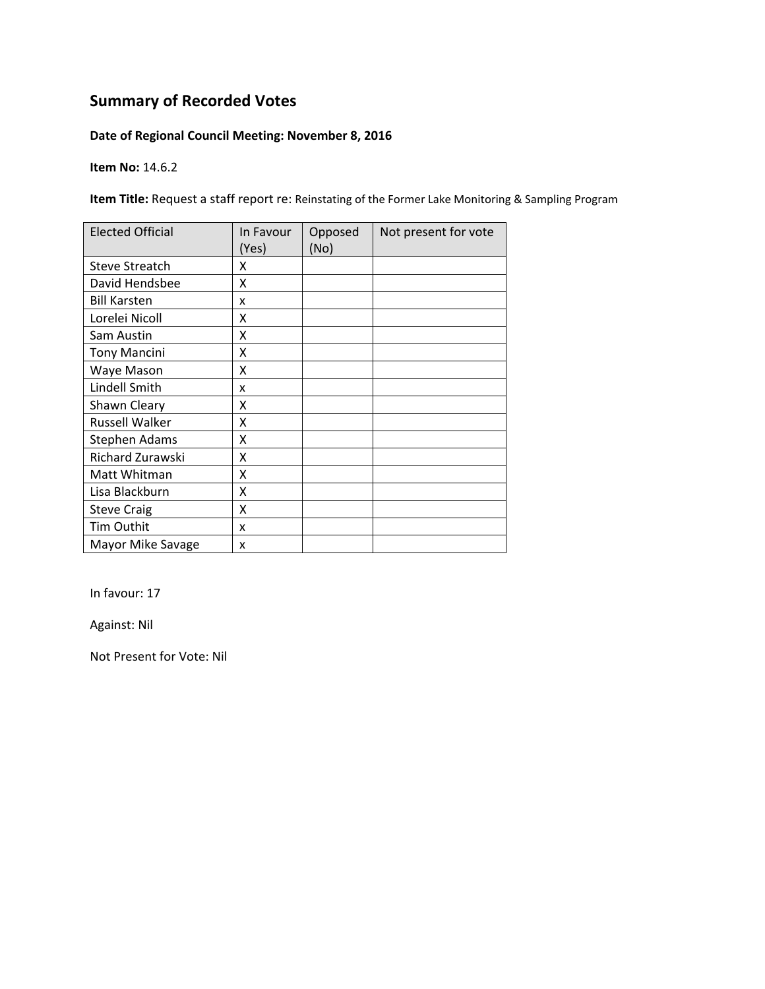### **Date of Regional Council Meeting: November 8, 2016**

**Item No:** 14.6.2

**Item Title:** Request a staff report re: Reinstating of the Former Lake Monitoring & Sampling Program

| <b>Elected Official</b> | In Favour<br>(Yes) | Opposed<br>(No) | Not present for vote |
|-------------------------|--------------------|-----------------|----------------------|
| <b>Steve Streatch</b>   | x                  |                 |                      |
| David Hendsbee          | Χ                  |                 |                      |
| <b>Bill Karsten</b>     | x                  |                 |                      |
| Lorelei Nicoll          | X                  |                 |                      |
| Sam Austin              | Χ                  |                 |                      |
| <b>Tony Mancini</b>     | Χ                  |                 |                      |
| Waye Mason              | X                  |                 |                      |
| Lindell Smith           | x                  |                 |                      |
| Shawn Cleary            | x                  |                 |                      |
| <b>Russell Walker</b>   | X                  |                 |                      |
| <b>Stephen Adams</b>    | X                  |                 |                      |
| Richard Zurawski        | X                  |                 |                      |
| Matt Whitman            | X                  |                 |                      |
| Lisa Blackburn          | X                  |                 |                      |
| <b>Steve Craig</b>      | X                  |                 |                      |
| <b>Tim Outhit</b>       | x                  |                 |                      |
| Mayor Mike Savage       | X                  |                 |                      |

In favour: 17

Against: Nil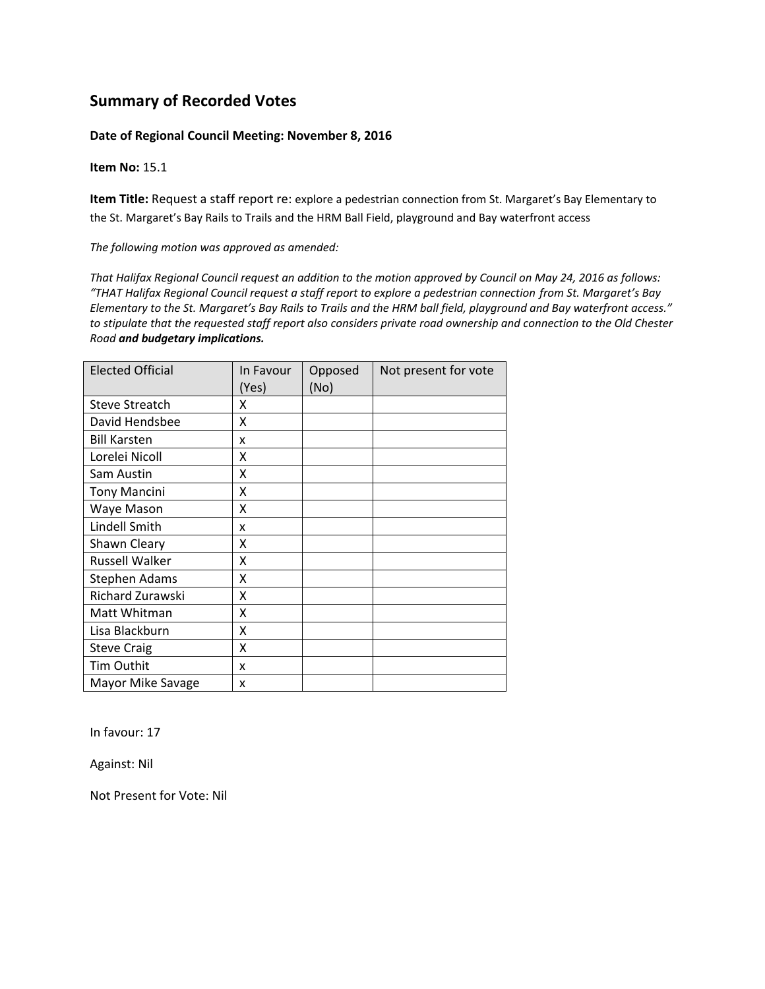#### **Date of Regional Council Meeting: November 8, 2016**

**Item No:** 15.1

**Item Title:** Request a staff report re: explore a pedestrian connection from St. Margaret's Bay Elementary to the St. Margaret's Bay Rails to Trails and the HRM Ball Field, playground and Bay waterfront access

*The following motion was approved as amended:*

That Halifax Regional Council request an addition to the motion approved by Council on May 24, 2016 as follows: "THAT Halifax Regional Council request a staff report to explore a pedestrian connection from St. Margaret's Bay Elementary to the St. Margaret's Bay Rails to Trails and the HRM ball field, playground and Bay waterfront access." to stipulate that the requested staff report also considers private road ownership and connection to the Old Chester *Road and budgetary implications.*

| <b>Elected Official</b> | In Favour<br>(Yes) | Opposed<br>(No) | Not present for vote |
|-------------------------|--------------------|-----------------|----------------------|
| <b>Steve Streatch</b>   | x                  |                 |                      |
| David Hendsbee          | x                  |                 |                      |
| <b>Bill Karsten</b>     | x                  |                 |                      |
| Lorelei Nicoll          | x                  |                 |                      |
| Sam Austin              | x                  |                 |                      |
| <b>Tony Mancini</b>     | x                  |                 |                      |
| Waye Mason              | X                  |                 |                      |
| Lindell Smith           | x                  |                 |                      |
| Shawn Cleary            | X                  |                 |                      |
| <b>Russell Walker</b>   | X                  |                 |                      |
| Stephen Adams           | x                  |                 |                      |
| Richard Zurawski        | x                  |                 |                      |
| Matt Whitman            | X                  |                 |                      |
| Lisa Blackburn          | x                  |                 |                      |
| <b>Steve Craig</b>      | x                  |                 |                      |
| Tim Outhit              | x                  |                 |                      |
| Mayor Mike Savage       | x                  |                 |                      |

In favour: 17

Against: Nil